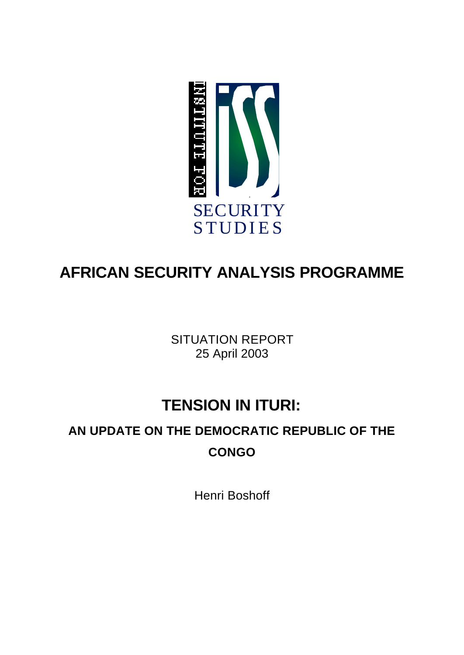

# **AFRICAN SECURITY ANALYSIS PROGRAMME**

SITUATION REPORT 25 April 2003

## **TENSION IN ITURI:**

## **AN UPDATE ON THE DEMOCRATIC REPUBLIC OF THE CONGO**

Henri Boshoff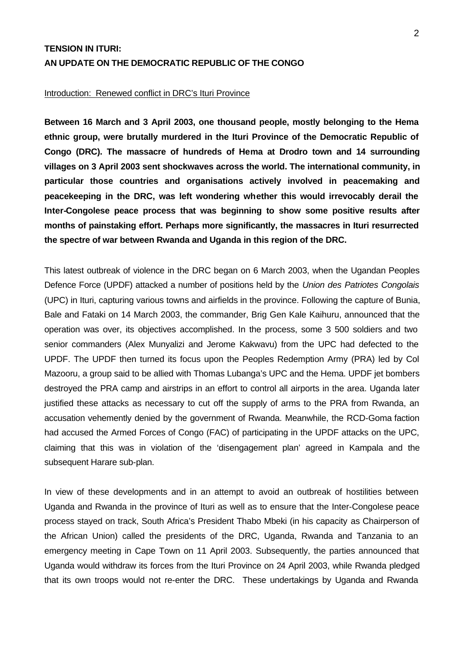## **TENSION IN ITURI: AN UPDATE ON THE DEMOCRATIC REPUBLIC OF THE CONGO**

#### Introduction: Renewed conflict in DRC's Ituri Province

**Between 16 March and 3 April 2003, one thousand people, mostly belonging to the Hema ethnic group, were brutally murdered in the Ituri Province of the Democratic Republic of Congo (DRC). The massacre of hundreds of Hema at Drodro town and 14 surrounding villages on 3 April 2003 sent shockwaves across the world. The international community, in particular those countries and organisations actively involved in peacemaking and peacekeeping in the DRC, was left wondering whether this would irrevocably derail the Inter-Congolese peace process that was beginning to show some positive results after months of painstaking effort. Perhaps more significantly, the massacres in Ituri resurrected the spectre of war between Rwanda and Uganda in this region of the DRC.**

This latest outbreak of violence in the DRC began on 6 March 2003, when the Ugandan Peoples Defence Force (UPDF) attacked a number of positions held by the *Union des Patriotes Congolais* (UPC) in Ituri, capturing various towns and airfields in the province. Following the capture of Bunia, Bale and Fataki on 14 March 2003, the commander, Brig Gen Kale Kaihuru, announced that the operation was over, its objectives accomplished. In the process, some 3 500 soldiers and two senior commanders (Alex Munyalizi and Jerome Kakwavu) from the UPC had defected to the UPDF. The UPDF then turned its focus upon the Peoples Redemption Army (PRA) led by Col Mazooru, a group said to be allied with Thomas Lubanga's UPC and the Hema. UPDF jet bombers destroyed the PRA camp and airstrips in an effort to control all airports in the area. Uganda later justified these attacks as necessary to cut off the supply of arms to the PRA from Rwanda, an accusation vehemently denied by the government of Rwanda. Meanwhile, the RCD-Goma faction had accused the Armed Forces of Congo (FAC) of participating in the UPDF attacks on the UPC, claiming that this was in violation of the 'disengagement plan' agreed in Kampala and the subsequent Harare sub-plan.

In view of these developments and in an attempt to avoid an outbreak of hostilities between Uganda and Rwanda in the province of Ituri as well as to ensure that the Inter-Congolese peace process stayed on track, South Africa's President Thabo Mbeki (in his capacity as Chairperson of the African Union) called the presidents of the DRC, Uganda, Rwanda and Tanzania to an emergency meeting in Cape Town on 11 April 2003. Subsequently, the parties announced that Uganda would withdraw its forces from the Ituri Province on 24 April 2003, while Rwanda pledged that its own troops would not re-enter the DRC. These undertakings by Uganda and Rwanda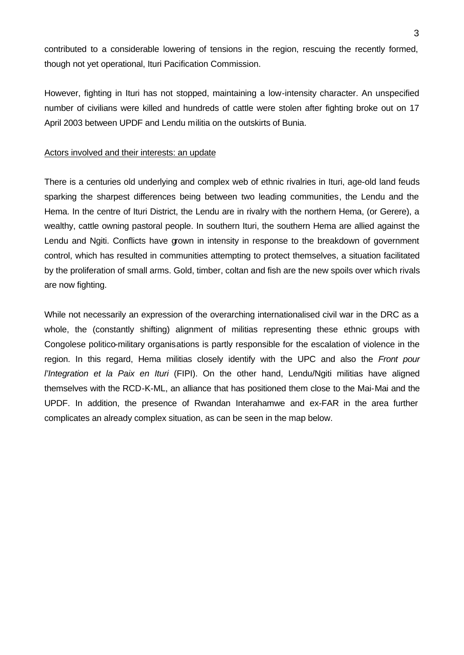contributed to a considerable lowering of tensions in the region, rescuing the recently formed, though not yet operational, Ituri Pacification Commission.

However, fighting in Ituri has not stopped, maintaining a low-intensity character. An unspecified number of civilians were killed and hundreds of cattle were stolen after fighting broke out on 17 April 2003 between UPDF and Lendu militia on the outskirts of Bunia.

#### Actors involved and their interests: an update

There is a centuries old underlying and complex web of ethnic rivalries in Ituri, age-old land feuds sparking the sharpest differences being between two leading communities, the Lendu and the Hema. In the centre of Ituri District, the Lendu are in rivalry with the northern Hema, (or Gerere), a wealthy, cattle owning pastoral people. In southern Ituri, the southern Hema are allied against the Lendu and Ngiti. Conflicts have grown in intensity in response to the breakdown of government control, which has resulted in communities attempting to protect themselves, a situation facilitated by the proliferation of small arms. Gold, timber, coltan and fish are the new spoils over which rivals are now fighting.

While not necessarily an expression of the overarching internationalised civil war in the DRC as a whole, the (constantly shifting) alignment of militias representing these ethnic groups with Congolese politico-military organisations is partly responsible for the escalation of violence in the region. In this regard, Hema militias closely identify with the UPC and also the *Front pour l'Integration et la Paix en Ituri* (FIPI). On the other hand, Lendu/Ngiti militias have aligned themselves with the RCD-K-ML, an alliance that has positioned them close to the Mai-Mai and the UPDF. In addition, the presence of Rwandan Interahamwe and ex-FAR in the area further complicates an already complex situation, as can be seen in the map below.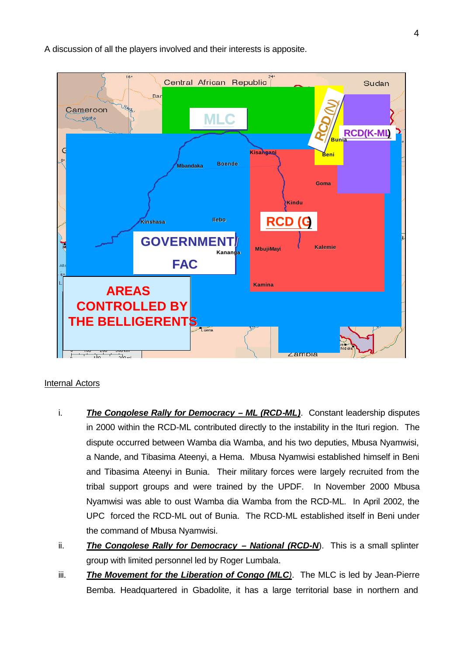

A discussion of all the players involved and their interests is apposite.

### Internal Actors

- i. *The Congolese Rally for Democracy ML (RCD-ML)*. Constant leadership disputes in 2000 within the RCD-ML contributed directly to the instability in the Ituri region. The dispute occurred between Wamba dia Wamba, and his two deputies, Mbusa Nyamwisi, a Nande, and Tibasima Ateenyi, a Hema. Mbusa Nyamwisi established himself in Beni and Tibasima Ateenyi in Bunia. Their military forces were largely recruited from the tribal support groups and were trained by the UPDF. In November 2000 Mbusa Nyamwisi was able to oust Wamba dia Wamba from the RCD-ML. In April 2002, the UPC forced the RCD-ML out of Bunia. The RCD-ML established itself in Beni under the command of Mbusa Nyamwisi.
- ii. **The Congolese Rally for Democracy National (RCD-N)**. This is a small splinter group with limited personnel led by Roger Lumbala.
- iii. **The Movement for the Liberation of Congo (MLC**). The MLC is led by Jean-Pierre Bemba. Headquartered in Gbadolite, it has a large territorial base in northern and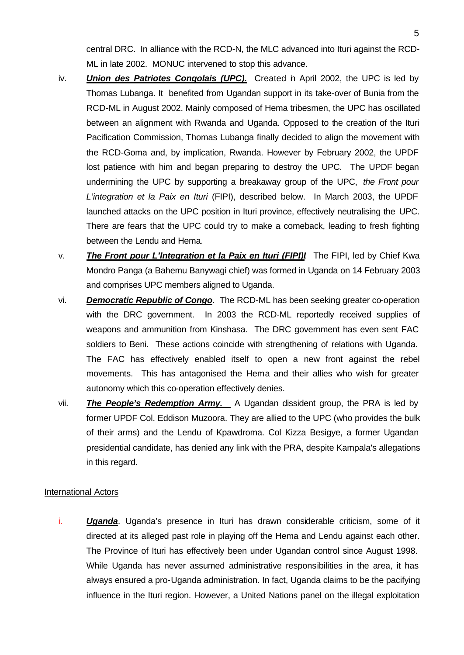central DRC. In alliance with the RCD-N, the MLC advanced into Ituri against the RCD-ML in late 2002. MONUC intervened to stop this advance.

- iv. *Union des Patriotes Congolais (UPC).* Created in April 2002, the UPC is led by Thomas Lubanga. It benefited from Ugandan support in its take-over of Bunia from the RCD-ML in August 2002. Mainly composed of Hema tribesmen, the UPC has oscillated between an alignment with Rwanda and Uganda. Opposed to the creation of the Ituri Pacification Commission, Thomas Lubanga finally decided to align the movement with the RCD-Goma and, by implication, Rwanda. However by February 2002, the UPDF lost patience with him and began preparing to destroy the UPC. The UPDF began undermining the UPC by supporting a breakaway group of the UPC, *the Front pour L'integration et la Paix en Ituri* (FIPI), described below. In March 2003, the UPDF launched attacks on the UPC position in Ituri province, effectively neutralising the UPC. There are fears that the UPC could try to make a comeback, leading to fresh fighting between the Lendu and Hema.
- v. *The Front pour L'Integration et la Paix en Ituri (FIPI)I*. The FIPI, led by Chief Kwa Mondro Panga (a Bahemu Banywagi chief) was formed in Uganda on 14 February 2003 and comprises UPC members aligned to Uganda.
- vi. *Democratic Republic of Congo*. The RCD-ML has been seeking greater co-operation with the DRC government. In 2003 the RCD-ML reportedly received supplies of weapons and ammunition from Kinshasa. The DRC government has even sent FAC soldiers to Beni. These actions coincide with strengthening of relations with Uganda. The FAC has effectively enabled itself to open a new front against the rebel movements. This has antagonised the Hema and their allies who wish for greater autonomy which this co-operation effectively denies.
- vii. *The People's Redemption Army.* A Ugandan dissident group, the PRA is led by former UPDF Col. Eddison Muzoora. They are allied to the UPC (who provides the bulk of their arms) and the Lendu of Kpawdroma. Col Kizza Besigye, a former Ugandan presidential candidate, has denied any link with the PRA, despite Kampala's allegations in this regard.

### International Actors

i. **Uganda**. Uganda's presence in Ituri has drawn considerable criticism, some of it directed at its alleged past role in playing off the Hema and Lendu against each other. The Province of Ituri has effectively been under Ugandan control since August 1998. While Uganda has never assumed administrative responsibilities in the area, it has always ensured a pro-Uganda administration. In fact, Uganda claims to be the pacifying influence in the Ituri region. However, a United Nations panel on the illegal exploitation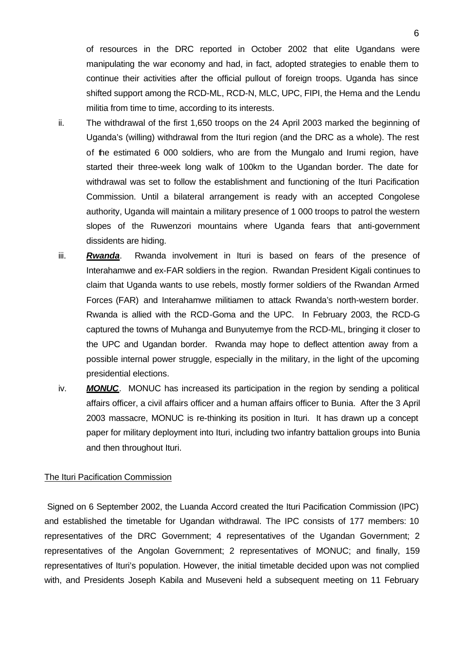of resources in the DRC reported in October 2002 that elite Ugandans were manipulating the war economy and had, in fact, adopted strategies to enable them to continue their activities after the official pullout of foreign troops. Uganda has since shifted support among the RCD-ML, RCD-N, MLC, UPC, FIPI, the Hema and the Lendu militia from time to time, according to its interests.

- ii. The withdrawal of the first 1,650 troops on the 24 April 2003 marked the beginning of Uganda's (willing) withdrawal from the Ituri region (and the DRC as a whole). The rest of the estimated 6 000 soldiers, who are from the Mungalo and Irumi region, have started their three-week long walk of 100km to the Ugandan border. The date for withdrawal was set to follow the establishment and functioning of the Ituri Pacification Commission. Until a bilateral arrangement is ready with an accepted Congolese authority, Uganda will maintain a military presence of 1 000 troops to patrol the western slopes of the Ruwenzori mountains where Uganda fears that anti-government dissidents are hiding.
- iii. *Rwanda*. Rwanda involvement in Ituri is based on fears of the presence of Interahamwe and ex-FAR soldiers in the region. Rwandan President Kigali continues to claim that Uganda wants to use rebels, mostly former soldiers of the Rwandan Armed Forces (FAR) and Interahamwe militiamen to attack Rwanda's north-western border. Rwanda is allied with the RCD-Goma and the UPC. In February 2003, the RCD-G captured the towns of Muhanga and Bunyutemye from the RCD-ML, bringing it closer to the UPC and Ugandan border. Rwanda may hope to deflect attention away from a possible internal power struggle, especially in the military, in the light of the upcoming presidential elections.
- iv. *MONUC*. MONUC has increased its participation in the region by sending a political affairs officer, a civil affairs officer and a human affairs officer to Bunia. After the 3 April 2003 massacre, MONUC is re-thinking its position in Ituri. It has drawn up a concept paper for military deployment into Ituri, including two infantry battalion groups into Bunia and then throughout Ituri.

### The Ituri Pacification Commission

 Signed on 6 September 2002, the Luanda Accord created the Ituri Pacification Commission (IPC) and established the timetable for Ugandan withdrawal. The IPC consists of 177 members: 10 representatives of the DRC Government; 4 representatives of the Ugandan Government; 2 representatives of the Angolan Government; 2 representatives of MONUC; and finally, 159 representatives of Ituri's population. However, the initial timetable decided upon was not complied with, and Presidents Joseph Kabila and Museveni held a subsequent meeting on 11 February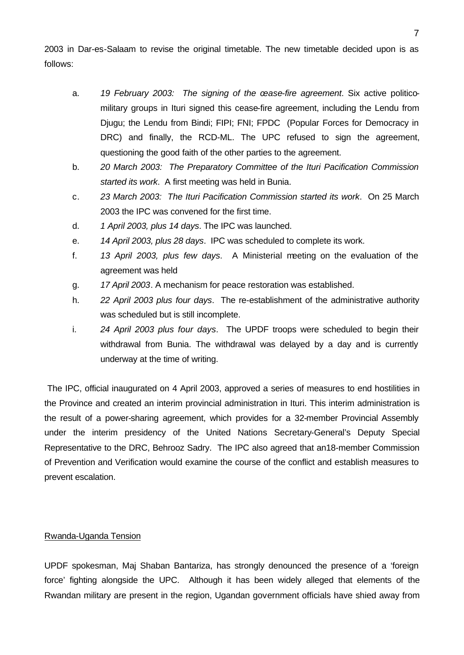2003 in Dar-es-Salaam to revise the original timetable. The new timetable decided upon is as follows:

- a. *19 February 2003: The signing of the cease-fire agreement*. Six active politicomilitary groups in Ituri signed this cease-fire agreement, including the Lendu from Djugu; the Lendu from Bindi; FIPI; FNI; FPDC (Popular Forces for Democracy in DRC) and finally, the RCD-ML. The UPC refused to sign the agreement, questioning the good faith of the other parties to the agreement.
- b. *20 March 2003: The Preparatory Committee of the Ituri Pacification Commission started its work*. A first meeting was held in Bunia.
- c. *23 March 2003: The Ituri Pacification Commission started its work*. On 25 March 2003 the IPC was convened for the first time.
- d. *1 April 2003, plus 14 days*. The IPC was launched.
- e. *14 April 2003, plus 28 days*. IPC was scheduled to complete its work.
- f. *13 April 2003, plus few days*. A Ministerial meeting on the evaluation of the agreement was held
- g. *17 April 2003*. A mechanism for peace restoration was established.
- h. *22 April 2003 plus four days*. The re-establishment of the administrative authority was scheduled but is still incomplete.
- i. *24 April 2003 plus four days*. The UPDF troops were scheduled to begin their withdrawal from Bunia. The withdrawal was delayed by a day and is currently underway at the time of writing.

 The IPC, official inaugurated on 4 April 2003, approved a series of measures to end hostilities in the Province and created an interim provincial administration in Ituri. This interim administration is the result of a power-sharing agreement, which provides for a 32-member Provincial Assembly under the interim presidency of the United Nations Secretary-General's Deputy Special Representative to the DRC, Behrooz Sadry. The IPC also agreed that an18-member Commission of Prevention and Verification would examine the course of the conflict and establish measures to prevent escalation.

### Rwanda-Uganda Tension

UPDF spokesman, Maj Shaban Bantariza, has strongly denounced the presence of a 'foreign force' fighting alongside the UPC. Although it has been widely alleged that elements of the Rwandan military are present in the region, Ugandan government officials have shied away from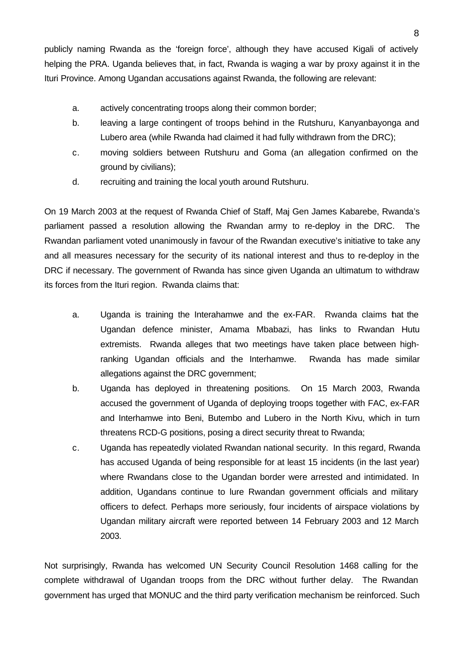publicly naming Rwanda as the 'foreign force', although they have accused Kigali of actively helping the PRA. Uganda believes that, in fact, Rwanda is waging a war by proxy against it in the Ituri Province. Among Ugandan accusations against Rwanda, the following are relevant:

- a. actively concentrating troops along their common border;
- b. leaving a large contingent of troops behind in the Rutshuru, Kanyanbayonga and Lubero area (while Rwanda had claimed it had fully withdrawn from the DRC);
- c. moving soldiers between Rutshuru and Goma (an allegation confirmed on the ground by civilians);
- d. recruiting and training the local youth around Rutshuru.

On 19 March 2003 at the request of Rwanda Chief of Staff, Maj Gen James Kabarebe, Rwanda's parliament passed a resolution allowing the Rwandan army to re-deploy in the DRC. The Rwandan parliament voted unanimously in favour of the Rwandan executive's initiative to take any and all measures necessary for the security of its national interest and thus to re-deploy in the DRC if necessary. The government of Rwanda has since given Uganda an ultimatum to withdraw its forces from the Ituri region. Rwanda claims that:

- a. Uganda is training the Interahamwe and the ex-FAR. Rwanda claims that the Ugandan defence minister, Amama Mbabazi, has links to Rwandan Hutu extremists. Rwanda alleges that two meetings have taken place between highranking Ugandan officials and the Interhamwe. Rwanda has made similar allegations against the DRC government;
- b. Uganda has deployed in threatening positions. On 15 March 2003, Rwanda accused the government of Uganda of deploying troops together with FAC, ex-FAR and Interhamwe into Beni, Butembo and Lubero in the North Kivu, which in turn threatens RCD-G positions, posing a direct security threat to Rwanda;
- c. Uganda has repeatedly violated Rwandan national security. In this regard, Rwanda has accused Uganda of being responsible for at least 15 incidents (in the last year) where Rwandans close to the Ugandan border were arrested and intimidated. In addition, Ugandans continue to lure Rwandan government officials and military officers to defect. Perhaps more seriously, four incidents of airspace violations by Ugandan military aircraft were reported between 14 February 2003 and 12 March 2003.

Not surprisingly, Rwanda has welcomed UN Security Council Resolution 1468 calling for the complete withdrawal of Ugandan troops from the DRC without further delay. The Rwandan government has urged that MONUC and the third party verification mechanism be reinforced. Such